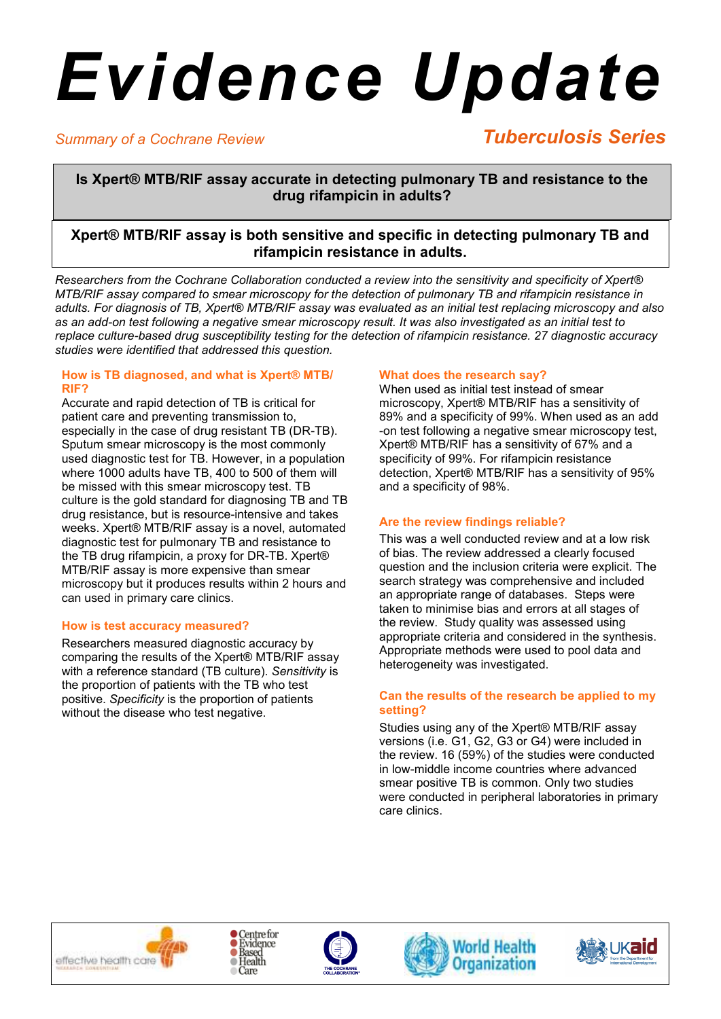# *Evidence Update*

# *Summary of a Cochrane Review*

# *Tuberculosis Series*

**Is Xpert® MTB/RIF assay accurate in detecting pulmonary TB and resistance to the drug rifampicin in adults?** 

# **Xpert® MTB/RIF assay is both sensitive and specific in detecting pulmonary TB and rifampicin resistance in adults.**

*Researchers from the Cochrane Collaboration conducted a review into the sensitivity and specificity of Xpert® MTB/RIF assay compared to smear microscopy for the detection of pulmonary TB and rifampicin resistance in adults. For diagnosis of TB, Xpert® MTB/RIF assay was evaluated as an initial test replacing microscopy and also as an add-on test following a negative smear microscopy result. It was also investigated as an initial test to replace culture-based drug susceptibility testing for the detection of rifampicin resistance. 27 diagnostic accuracy studies were identified that addressed this question.* 

#### **How is TB diagnosed, and what is Xpert® MTB/ RIF?**

Accurate and rapid detection of TB is critical for patient care and preventing transmission to, especially in the case of drug resistant TB (DR-TB). Sputum smear microscopy is the most commonly used diagnostic test for TB. However, in a population where 1000 adults have TB, 400 to 500 of them will be missed with this smear microscopy test. TB culture is the gold standard for diagnosing TB and TB drug resistance, but is resource-intensive and takes weeks. Xpert® MTB/RIF assay is a novel, automated diagnostic test for pulmonary TB and resistance to the TB drug rifampicin, a proxy for DR-TB. Xpert® MTB/RIF assay is more expensive than smear microscopy but it produces results within 2 hours and can used in primary care clinics.

## **How is test accuracy measured?**

Researchers measured diagnostic accuracy by comparing the results of the Xpert® MTB/RIF assay with a reference standard (TB culture). *Sensitivity* is the proportion of patients with the TB who test positive. *Specificity* is the proportion of patients without the disease who test negative.

# **What does the research say?**

When used as initial test instead of smear microscopy, Xpert® MTB/RIF has a sensitivity of 89% and a specificity of 99%. When used as an add -on test following a negative smear microscopy test, Xpert® MTB/RIF has a sensitivity of 67% and a specificity of 99%. For rifampicin resistance detection, Xpert® MTB/RIF has a sensitivity of 95% and a specificity of 98%.

# **Are the review findings reliable?**

This was a well conducted review and at a low risk of bias. The review addressed a clearly focused question and the inclusion criteria were explicit. The search strategy was comprehensive and included an appropriate range of databases. Steps were taken to minimise bias and errors at all stages of the review. Study quality was assessed using appropriate criteria and considered in the synthesis. Appropriate methods were used to pool data and heterogeneity was investigated.

## **Can the results of the research be applied to my setting?**

Studies using any of the Xpert® MTB/RIF assay versions (i.e. G1, G2, G3 or G4) were included in the review. 16 (59%) of the studies were conducted in low-middle income countries where advanced smear positive TB is common. Only two studies were conducted in peripheral laboratories in primary care clinics.